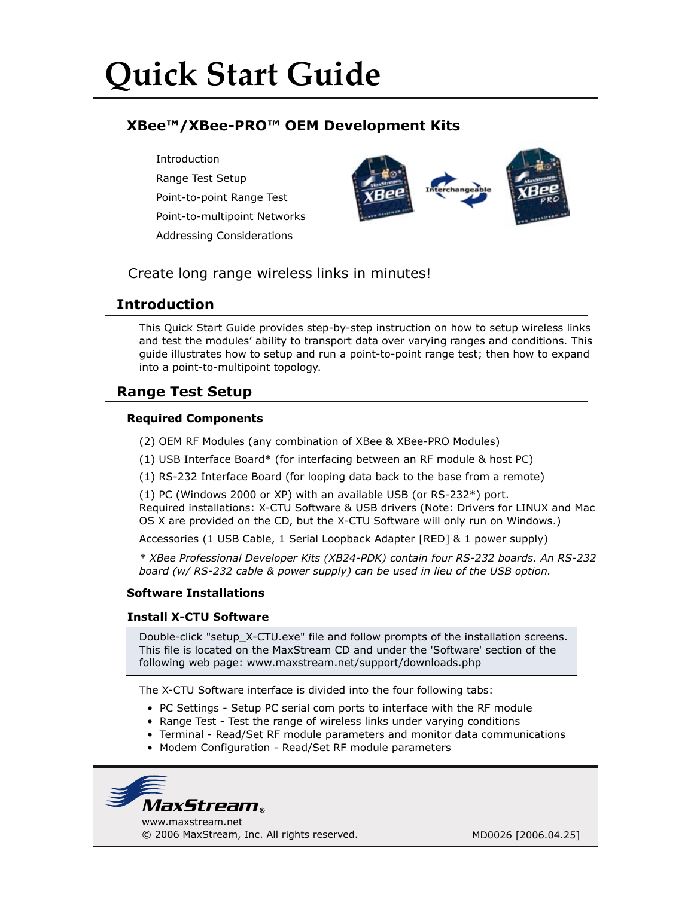# **Quick Start Guide**

# **XBee™/XBee-PRO™ OEM Development Kits**

Introduction Range Test Setup Point-to-point Range Test Point-to-multipoint Networks Addressing Considerations



# Create long range wireless links in minutes!

## **Introduction**

This Quick Start Guide provides step-by-step instruction on how to setup wireless links and test the modules' ability to transport data over varying ranges and conditions. This guide illustrates how to setup and run a point-to-point range test; then how to expand into a point-to-multipoint topology.

# **Range Test Setup**

### **Required Components**

- (2) OEM RF Modules (any combination of XBee & XBee-PRO Modules)
- (1) USB Interface Board\* (for interfacing between an RF module & host PC)
- (1) RS-232 Interface Board (for looping data back to the base from a remote)

(1) PC (Windows 2000 or XP) with an available USB (or RS-232\*) port. Required installations: X-CTU Software & USB drivers (Note: Drivers for LINUX and Mac OS X are provided on the CD, but the X-CTU Software will only run on Windows.)

Accessories (1 USB Cable, 1 Serial Loopback Adapter [RED] & 1 power supply)

*\* XBee Professional Developer Kits (XB24-PDK) contain four RS-232 boards. An RS-232 board (w/ RS-232 cable & power supply) can be used in lieu of the USB option.*

#### **Software Installations**

#### **Install X-CTU Software**

Double-click "setup\_X-CTU.exe" file and follow prompts of the installation screens. This file is located on the MaxStream CD and under the 'Software' section of the following web page: www.maxstream.net/support/downloads.php

The X-CTU Software interface is divided into the four following tabs:

- PC Settings Setup PC serial com ports to interface with the RF module
- Range Test Test the range of wireless links under varying conditions
- Terminal Read/Set RF module parameters and monitor data communications
- Modem Configuration Read/Set RF module parameters

www.maxstream.net *MaxStream*

© 2006 MaxStream, Inc. All rights reserved. MD0026 [2006.04.25]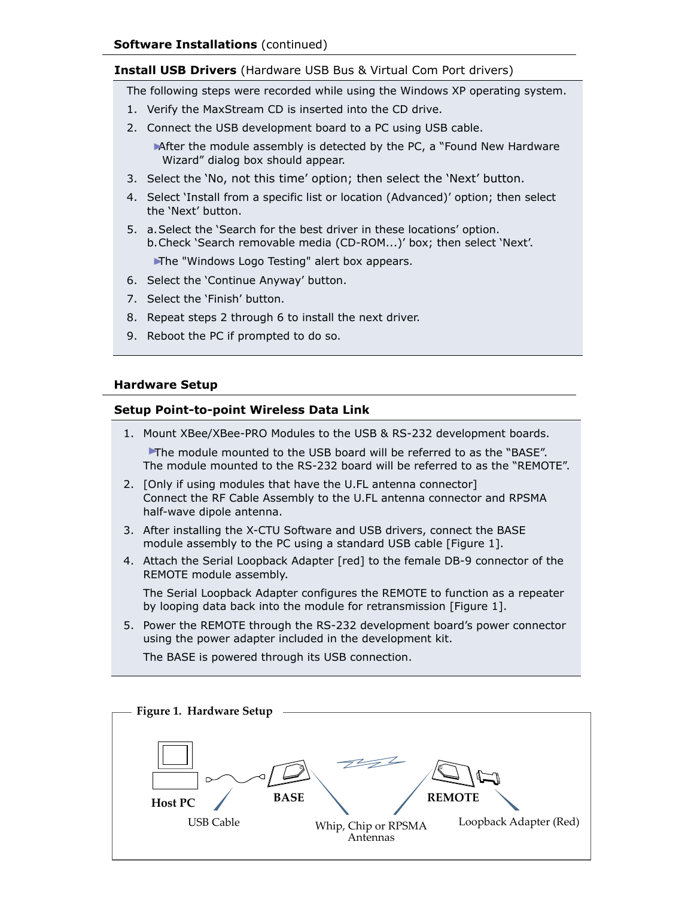#### **Install USB Drivers** (Hardware USB Bus & Virtual Com Port drivers)

The following steps were recorded while using the Windows XP operating system.

- 1. Verify the MaxStream CD is inserted into the CD drive.
- 2. Connect the USB development board to a PC using USB cable.
	- After the module assembly is detected by the PC, a "Found New Hardware Wizard" dialog box should appear.
- 3. Select the 'No, not this time' option; then select the 'Next' button.
- 4. Select 'Install from a specific list or location (Advanced)' option; then select the 'Next' button.
- 5. a. Select the 'Search for the best driver in these locations' option. b. Check 'Search removable media (CD-ROM...)' box; then select 'Next'.

The "Windows Logo Testing" alert box appears.

- 6. Select the 'Continue Anyway' button.
- 7. Select the 'Finish' button.
- 8. Repeat steps 2 through 6 to install the next driver.
- 9. Reboot the PC if prompted to do so.

#### **Hardware Setup**

#### **Setup Point-to-point Wireless Data Link**

- 1. Mount XBee/XBee-PRO Modules to the USB & RS-232 development boards. The module mounted to the USB board will be referred to as the "BASE". The module mounted to the RS-232 board will be referred to as the "REMOTE".
- 2. [Only if using modules that have the U.FL antenna connector] Connect the RF Cable Assembly to the U.FL antenna connector and RPSMA half-wave dipole antenna.
- 3. After installing the X-CTU Software and USB drivers, connect the BASE module assembly to the PC using a standard USB cable [Figure 1].
- 4. Attach the Serial Loopback Adapter [red] to the female DB-9 connector of the REMOTE module assembly.

 The Serial Loopback Adapter configures the REMOTE to function as a repeater by looping data back into the module for retransmission [Figure 1].

5. Power the REMOTE through the RS-232 development board's power connector using the power adapter included in the development kit.

The BASE is powered through its USB connection.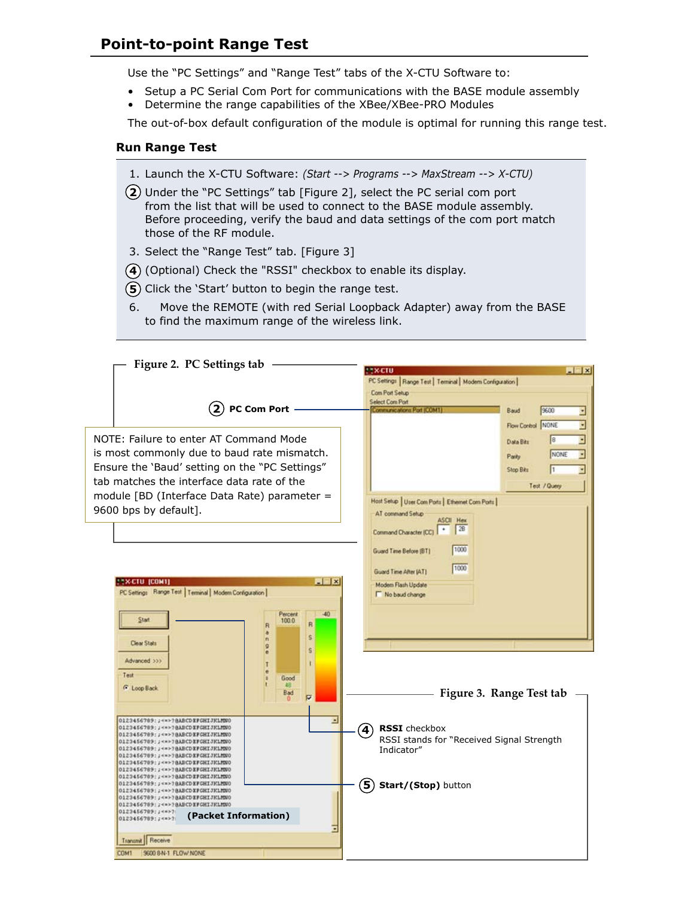## **Point-to-point Range Test**

Use the "PC Settings" and "Range Test" tabs of the X-CTU Software to:

- Setup a PC Serial Com Port for communications with the BASE module assembly
- Determine the range capabilities of the XBee/XBee-PRO Modules

The out-of-box default configuration of the module is optimal for running this range test.

#### **Run Range Test**

- 1. Launch the X-CTU Software: *(Start --> Programs --> MaxStream --> X-CTU)*
- Under the "PC Settings" tab [Figure 2], select the PC serial com port **2** from the list that will be used to connect to the BASE module assembly. Before proceeding, verify the baud and data settings of the com port match those of the RF module.
- 3. Select the "Range Test" tab. [Figure 3]
- (Optional) Check the "RSSI" checkbox to enable its display. **4**
- (5) Click the 'Start' button to begin the range test.
- 6. Move the REMOTE (with red Serial Loopback Adapter) away from the BASE to find the maximum range of the wireless link.